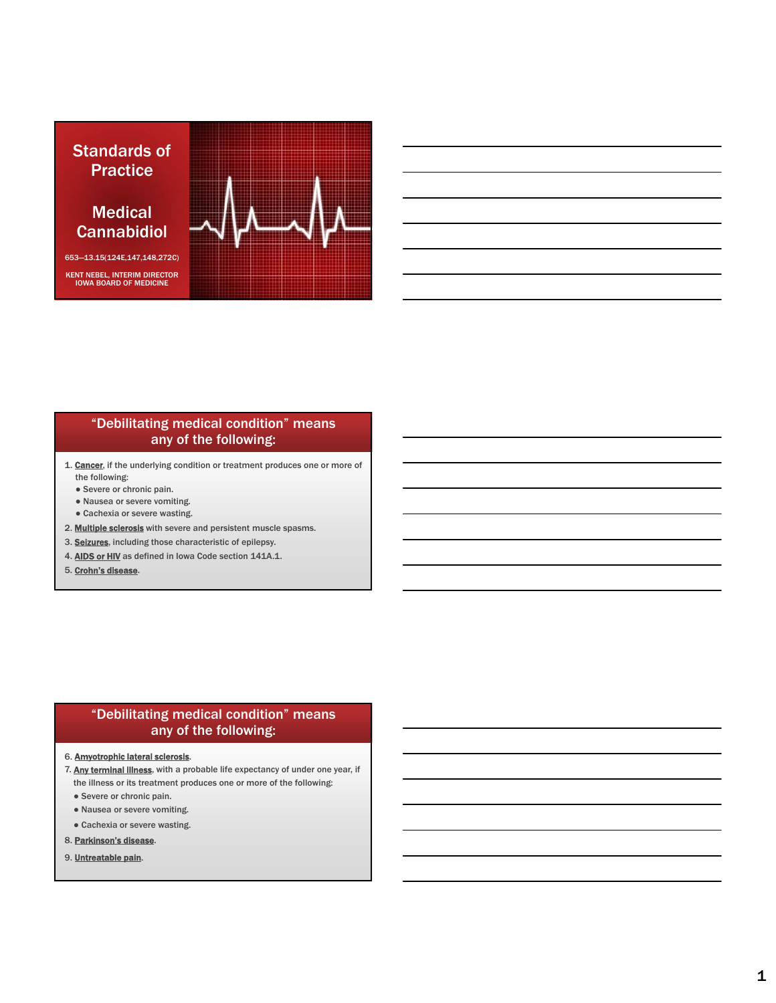

### "Debilitating medical condition" means any of the following:

- 1. Cancer, if the underlying condition or treatment produces one or more of the following:
	- Severe or chronic pain.
	- Nausea or severe vomiting.
	- Cachexia or severe wasting.
- 2. Multiple sclerosis with severe and persistent muscle spasms.
- 3. Seizures, including those characteristic of epilepsy.
- 4. AIDS or HIV as defined in Iowa Code section 141A.1.
- 5. Crohn's disease.

### "Debilitating medical condition" means any of the following:

- 6. Amyotrophic lateral sclerosis.
- 7. Any terminal illness, with a probable life expectancy of under one year, if the illness or its treatment produces one or more of the following:
	- Severe or chronic pain.
	- Nausea or severe vomiting.
	- Cachexia or severe wasting.
- 8. Parkinson's disease.
- 9. Untreatable pain.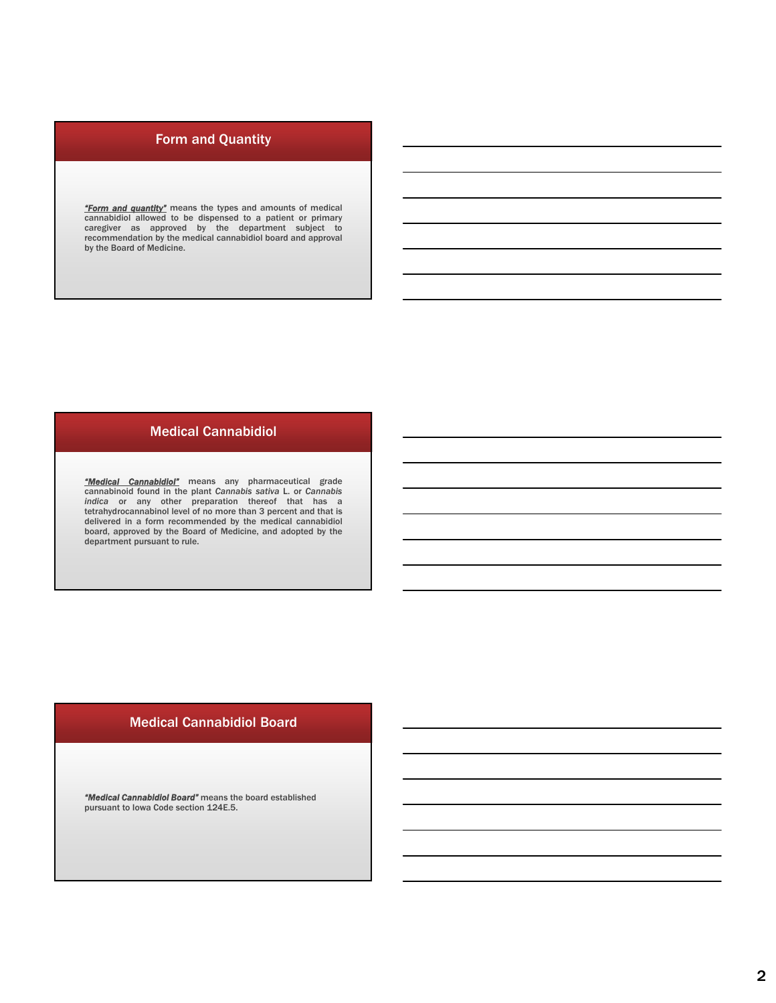# Form and Quantity

**"Form and quantity"** means the types and amounts of medical<br>cannabidiol allowed to be dispensed to a patient or primary<br>caregiver as approved by the department subject to<br>recommendation by the medical cannabidiol board an by the Board of Medicine.

### Medical Cannabidiol

*"Medical Cannabidiol"* means any pharmaceutical grade cannabinoid found in the plant *Cannabis sativa* L. or *Cannabis indica* or any other preparation thereof that has a tetrahydrocannabinol level of no more than 3 percent and that is delivered in a form recommended by the medical cannabidiol board, approved by the Board of Medicine, and adopted by the department pursuant to rule.

### Medical Cannabidiol Board

*"Medical Cannabidiol Board"* means the board established pursuant to Iowa Code section 124E.5.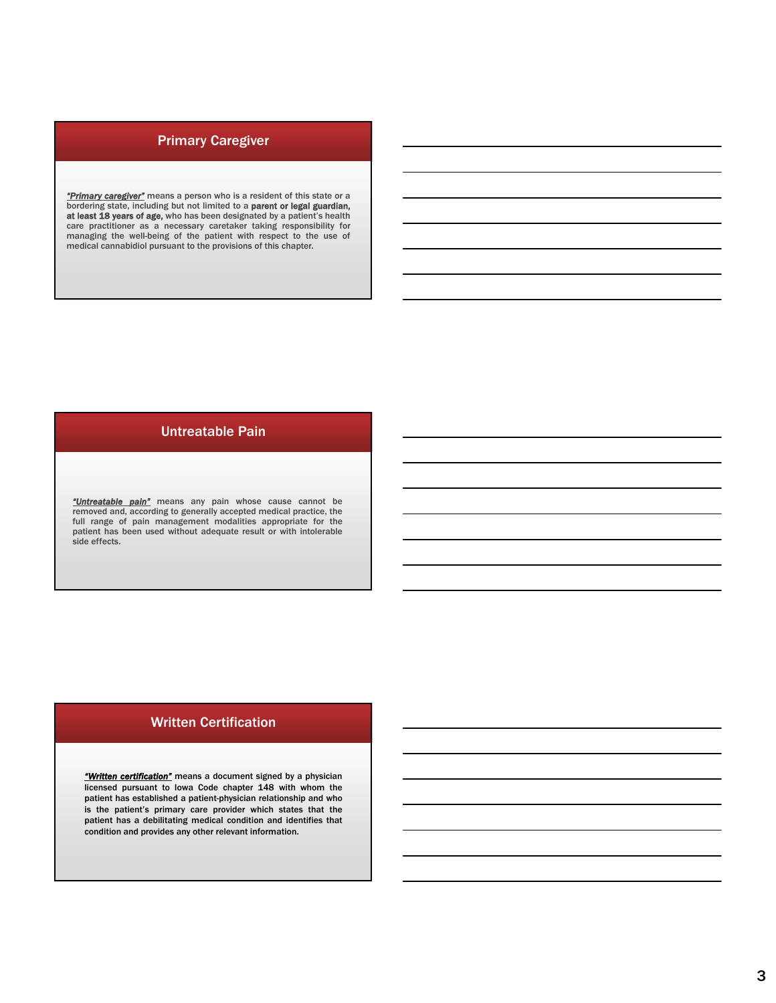### Primary Caregiver

*"Primary caregiver"* means a person who is a resident of this state or a bordering state, including but not limited to a **parent or legal guardian,**<br>**at least 18 years of age,** who has been designated by a patient's health<br>care practitioner as a necessary caretaker taking responsibility for<br>man

## Untreatable Pain

*"Untreatable pain"* means any pain whose cause cannot be removed and, according to generally accepted medical practice, the full range of pain management modalities appropriate for the patient has been used without adequate result or with intolerable side effects.

#### Written Certification

*"Written certification"* means a document signed by a physician licensed pursuant to Iowa Code chapter 148 with whom the patient has established a patient-physician relationship and who is the patient's primary care provider which states that the patient has a debilitating medical condition and identifies that condition and provides any other relevant information.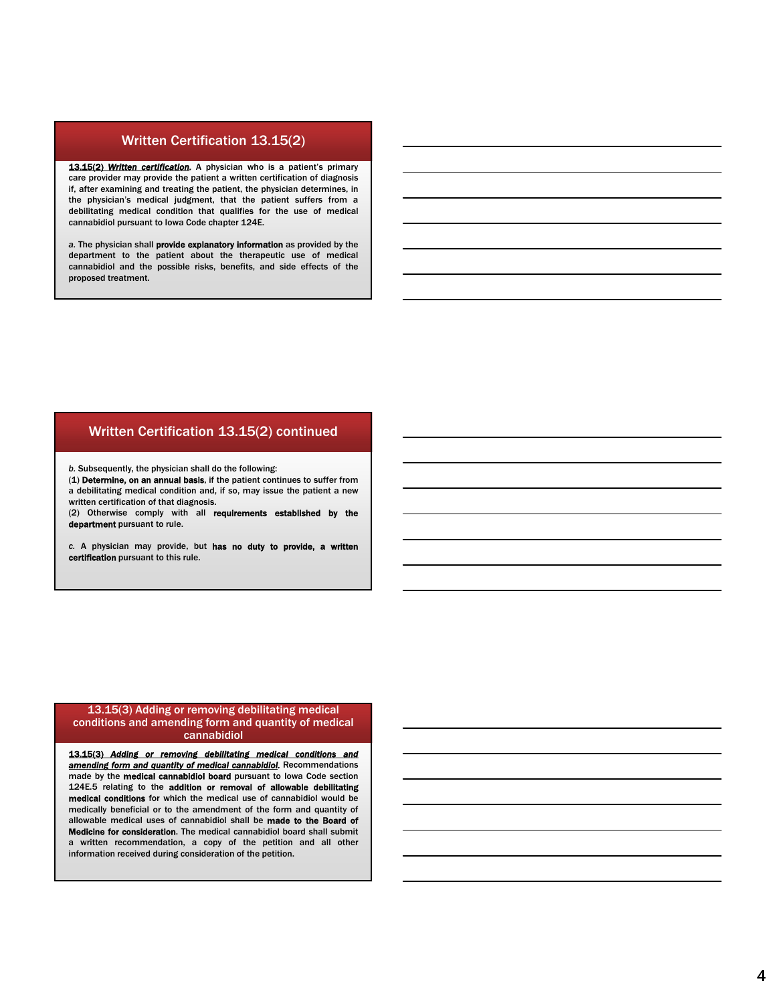#### Written Certification 13.15(2)

13.15(2) Written certification. A physician who is a patient's primary care provider may provide the patient a written certification of diagnosis if, after examining and treating the patient, the physician determines, in the physician's medical judgment, that the patient suffers from a debilitating medical condition that qualifies for the use of medical cannabidiol pursuant to Iowa Code chapter 124E.

*a.* The physician shall provide explanatory information as provided by the department to the patient about the therapeutic use of medical cannabidiol and the possible risks, benefits, and side effects of the proposed treatment.

#### Written Certification 13.15(2) continued

*b.* Subsequently, the physician shall do the following:

(1) Determine, on an annual basis, if the patient continues to suffer from a debilitating medical condition and, if so, may issue the patient a new written certification of that diagnosis.

(2) Otherwise comply with all requirements established by the department pursuant to rule.

*c.* A physician may provide, but has no duty to provide, a written certification pursuant to this rule.

#### 13.15(3) Adding or removing debilitating medical conditions and amending form and quantity of medical cannabidiol

13.15(3) *Adding or removing debilitating medical conditions and amending form and quantity of medical cannabidiol.* Recommendations made by the medical cannabidiol board pursuant to Iowa Code section 124E.5 relating to the addition or removal of allowable debilitating medical conditions for which the medical use of cannabidiol would be medically beneficial or to the amendment of the form and quantity of allowable medical uses of cannabidiol shall be made to the Board of Medicine for consideration. The medical cannabidiol board shall submit a written recommendation, a copy of the petition and all other information received during consideration of the petition.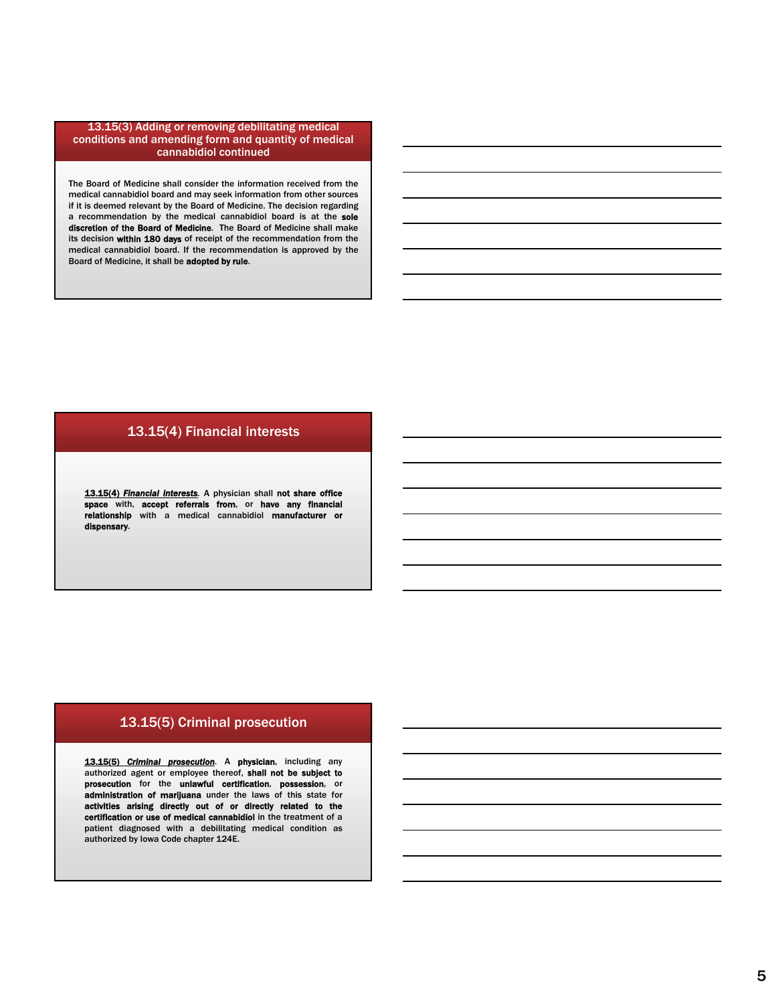#### 13.15(3) Adding or removing debilitating medical conditions and amending form and quantity of medical cannabidiol continued

The Board of Medicine shall consider the information received from the medical cannabidiol board and may seek information from other sources if it is deemed relevant by the Board of Medicine. The decision regarding a recommendation by the medical cannabidiol board is at the sole discretion of the Board of Medicine. The Board of Medicine shall make its decision within 180 days of receipt of the recommendation from the medical cannabidiol board. If the recommendation is approved by the Board of Medicine, it shall be adopted by rule.

#### 13.15(4) Financial interests

13.15(4) *Financial interests.* A physician shall not share office space with, accept referrals from, or have any financial relationship with a medical cannabidiol manufacturer or dispensary.

### 13.15(5) Criminal prosecution

13.15(5) *Criminal prosecution.* A physician, including any authorized agent or employee thereof, shall not be subject to prosecution for the unlawful certification, possession, or administration of marijuana under the laws of this state for activities arising directly out of or directly related to the certification or use of medical cannabidiol in the treatment of a patient diagnosed with a debilitating medical condition as authorized by Iowa Code chapter 124E.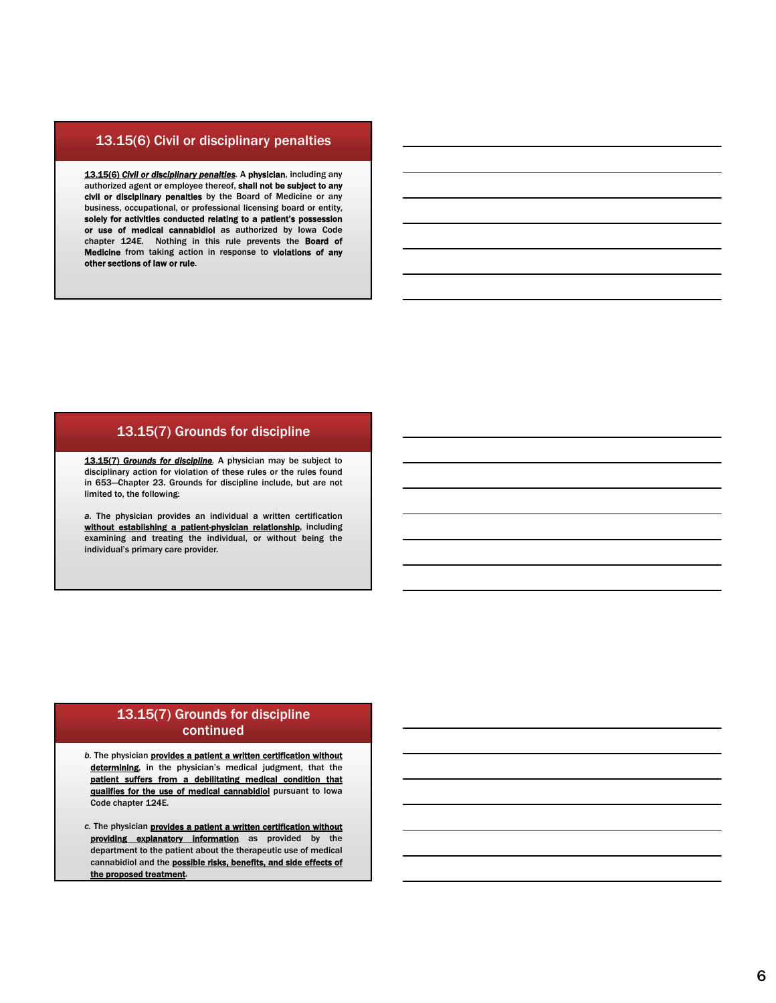#### 13.15(6) Civil or disciplinary penalties

13.15(6) *Civil or disciplinary penalties.* A physician, including any authorized agent or employee thereof, shall not be subject to any civil or disciplinary penalties by the Board of Medicine or any business, occupational, or professional licensing board or entity, solely for activities conducted relating to a patient's possession or use of medical cannabidiol as authorized by Iowa Code chapter 124E. Nothing in this rule prevents the Board of Medicine from taking action in response to violations of any other sections of law or rule.

#### 13.15(7) Grounds for discipline

13.15(7) *Grounds for discipline.* A physician may be subject to disciplinary action for violation of these rules or the rules found in 653—Chapter 23. Grounds for discipline include, but are not limited to, the following:

*a.* The physician provides an individual a written certification without establishing a patient-physician relationship, including examining and treating the individual, or without being the individual's primary care provider.

### 13.15(7) Grounds for discipline continued

- **b.** The physician **provides a patient a written certification without** determining, in the physician's medical judgment, that the patient suffers from a debilitating medical condition that qualifies for the use of medical cannabidiol pursuant to lowa Code chapter 124E.
- *c.* The physician provides a patient a written certification without providing explanatory information as provided by the department to the patient about the therapeutic use of medical cannabidiol and the **possible risks, benefits, and side effects of** the proposed treatment.